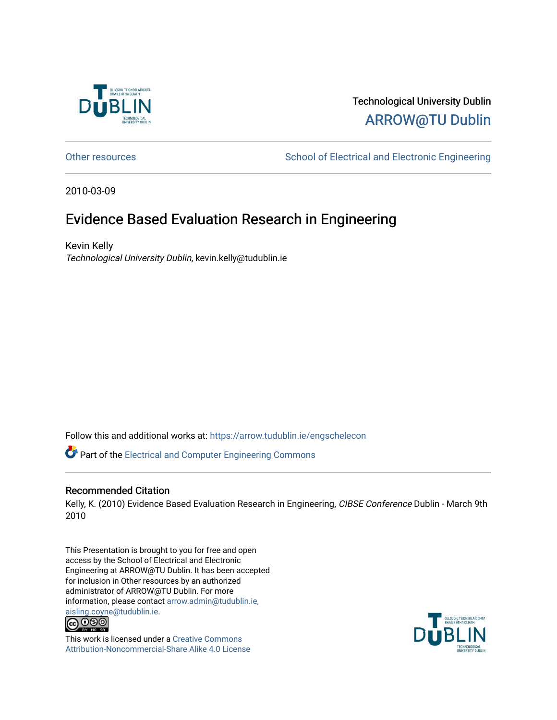

#### Technological University Dublin [ARROW@TU Dublin](https://arrow.tudublin.ie/)

[Other resources](https://arrow.tudublin.ie/engschelecon) **School of Electrical and Electronic Engineering** 

2010-03-09

#### Evidence Based Evaluation Research in Engineering

Kevin Kelly Technological University Dublin, kevin.kelly@tudublin.ie

Follow this and additional works at: [https://arrow.tudublin.ie/engschelecon](https://arrow.tudublin.ie/engschelecon?utm_source=arrow.tudublin.ie%2Fengschelecon%2F12&utm_medium=PDF&utm_campaign=PDFCoverPages) 

Part of the [Electrical and Computer Engineering Commons](http://network.bepress.com/hgg/discipline/266?utm_source=arrow.tudublin.ie%2Fengschelecon%2F12&utm_medium=PDF&utm_campaign=PDFCoverPages) 

#### Recommended Citation

Kelly, K. (2010) Evidence Based Evaluation Research in Engineering, CIBSE Conference Dublin - March 9th 2010

This Presentation is brought to you for free and open access by the School of Electrical and Electronic Engineering at ARROW@TU Dublin. It has been accepted for inclusion in Other resources by an authorized administrator of ARROW@TU Dublin. For more information, please contact [arrow.admin@tudublin.ie,](mailto:arrow.admin@tudublin.ie,%20aisling.coyne@tudublin.ie)  [aisling.coyne@tudublin.ie.](mailto:arrow.admin@tudublin.ie,%20aisling.coyne@tudublin.ie)<br> **@ 0 9 9** 



This work is licensed under a [Creative Commons](http://creativecommons.org/licenses/by-nc-sa/4.0/) [Attribution-Noncommercial-Share Alike 4.0 License](http://creativecommons.org/licenses/by-nc-sa/4.0/)

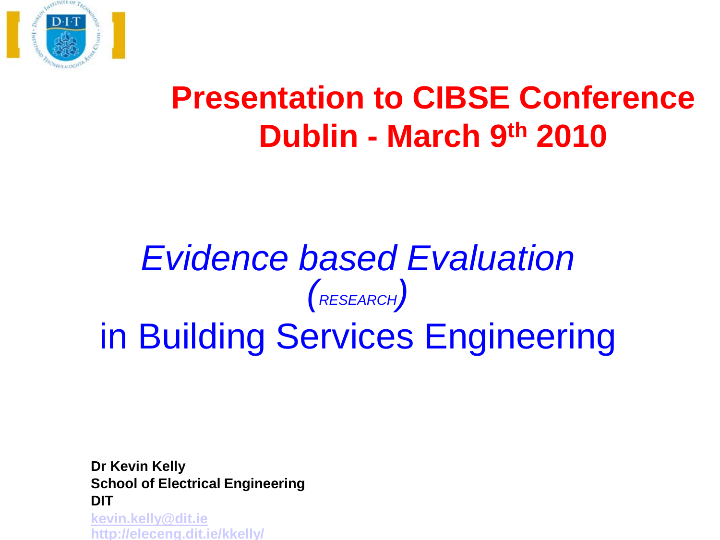

### **Presentation to CIBSE Conference Dublin - March 9th 2010**

### *Evidence based Evaluation (RESEARCH)* in Building Services Engineering

**Dr Kevin Kelly School of Electrical Engineering DIT [kevin.kelly@dit.ie](mailto:kevin.kelly@dit.ie) <http://eleceng.dit.ie/kkelly/>**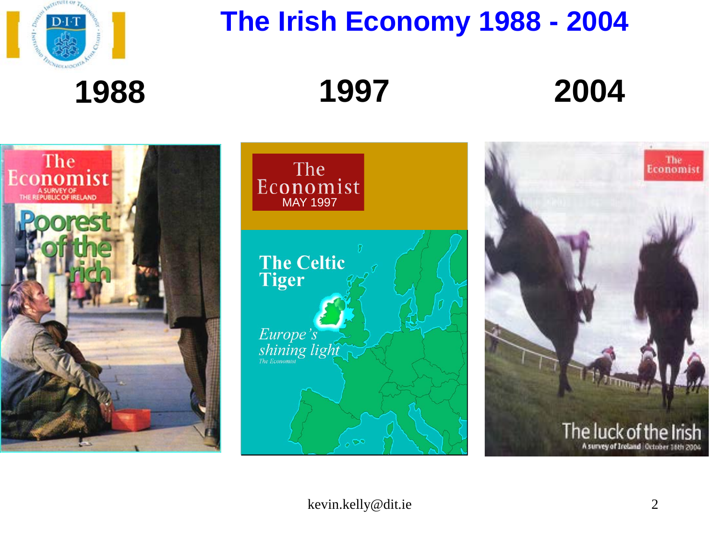

### **The Irish Economy 1988 - 2004**

**1988**

**1997 2004**





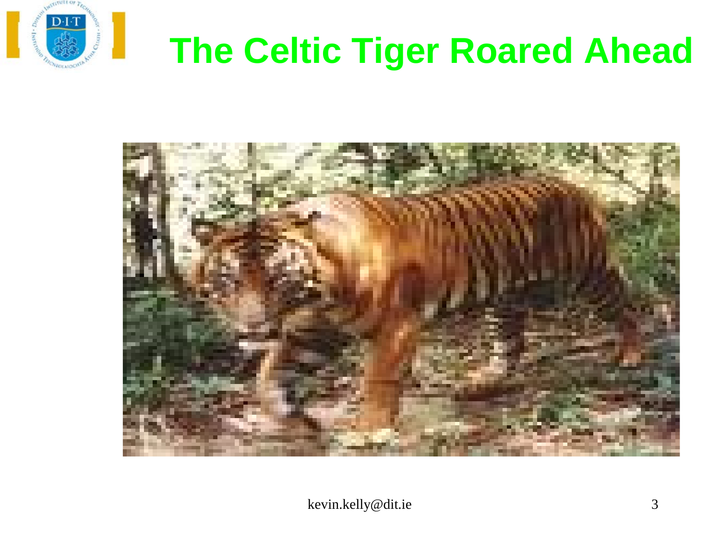

## **The Celtic Tiger Roared Ahead**

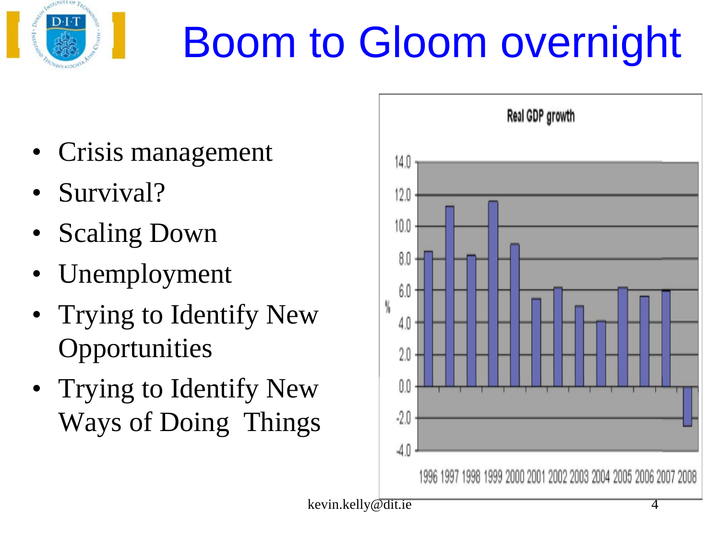

# Boom to Gloom overnight

- Crisis management
- Survival?
- **Scaling Down**
- Unemployment
- Trying to Identify New **Opportunities**
- Trying to Identify New Ways of Doing Things

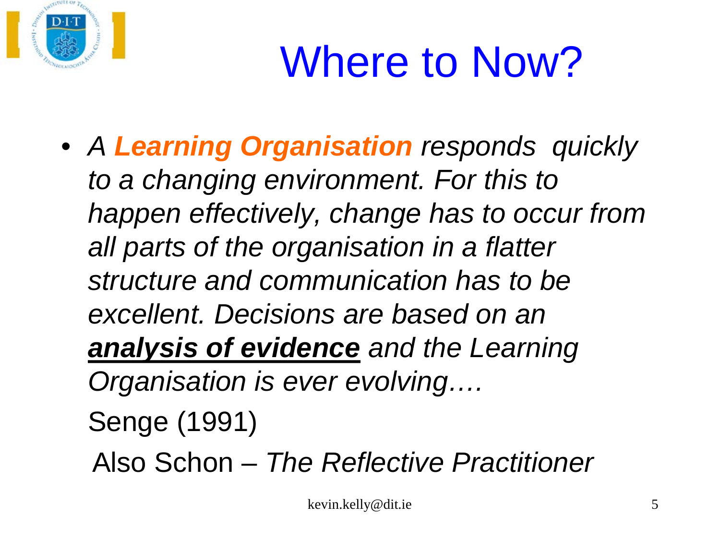

# Where to Now?

- *A Learning Organisation responds quickly to a changing environment. For this to happen effectively, change has to occur from all parts of the organisation in a flatter structure and communication has to be excellent. Decisions are based on an analysis of evidence and the Learning Organisation is ever evolving….* Senge (1991)
	- Also Schon *The Reflective Practitioner*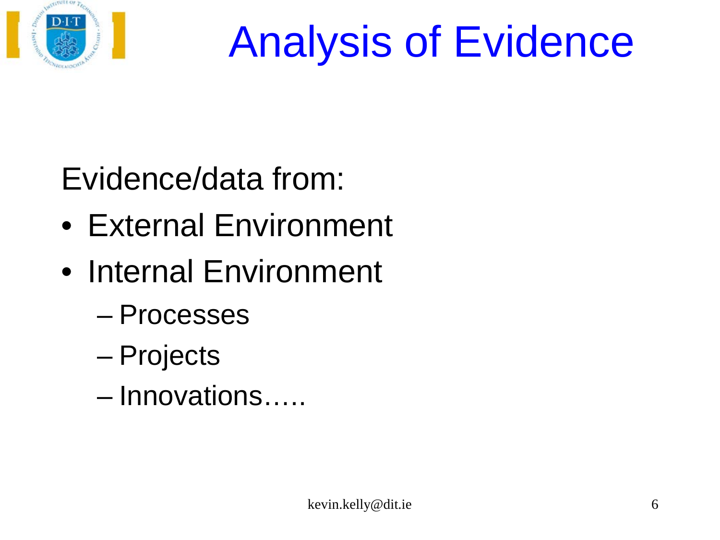

# Analysis of Evidence

Evidence/data from:

- External Environment
- Internal Environment
	- Processes
	- Projects
	- Innovations…..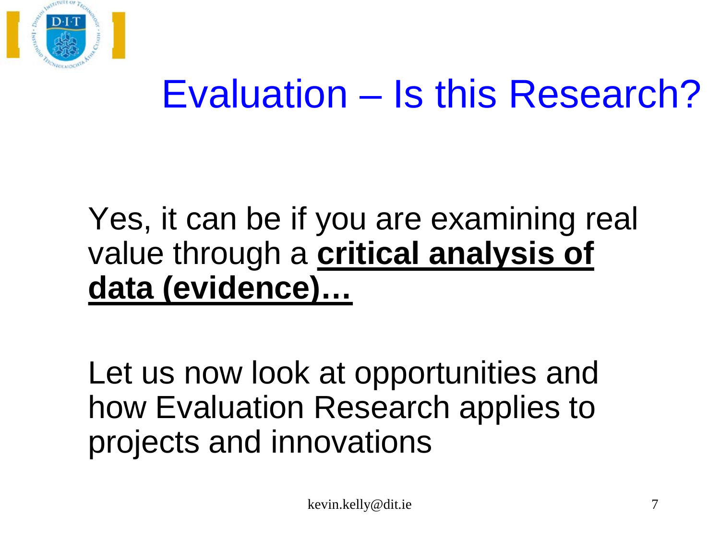

## Evaluation – Is this Research?

### Yes, it can be if you are examining real value through a **critical analysis of data (evidence)…**

Let us now look at opportunities and how Evaluation Research applies to projects and innovations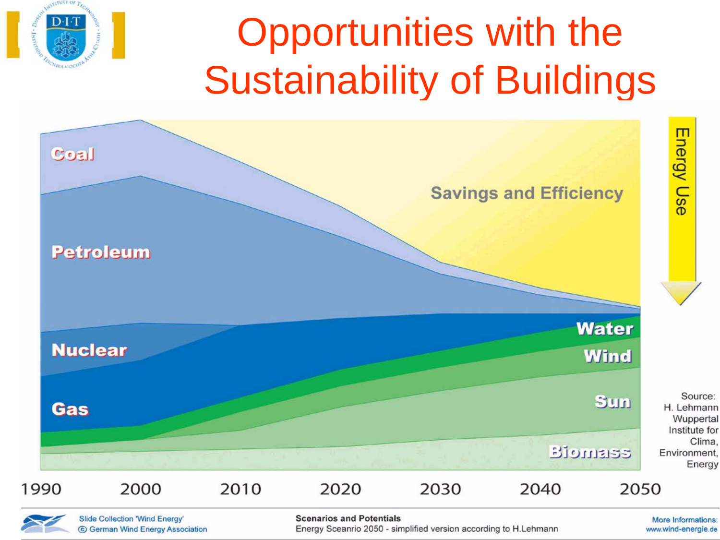## Opportunities with the Sustainability of Buildings



www.wind-energie.de

**Slide Collection 'Wind Energy'** © German Wind Energy Association

D∙I≓

**Scenarios and Potentials** 

Energy Sceanrio 2050 - simplified version according to H.Lehmann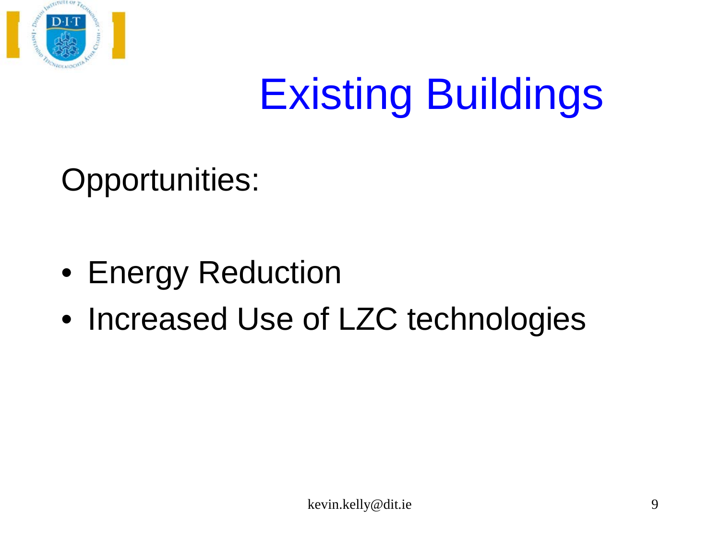

# Existing Buildings

Opportunities:

- Energy Reduction
- Increased Use of LZC technologies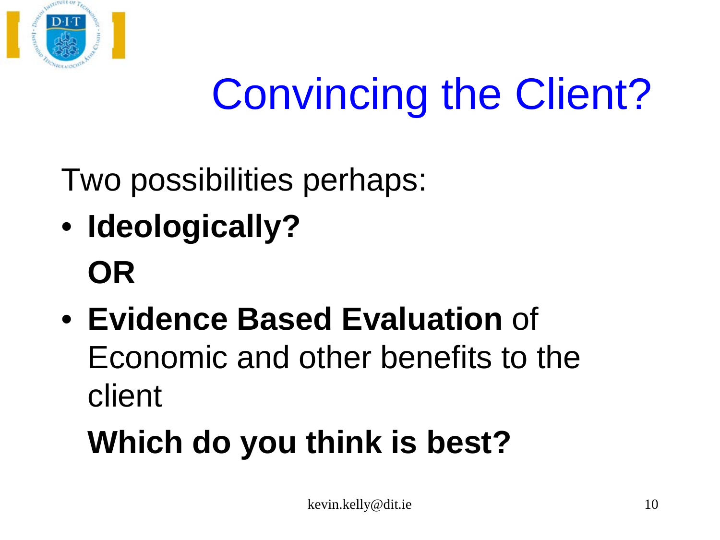

# Convincing the Client?

Two possibilities perhaps:

- **Ideologically? OR**
- **Evidence Based Evaluation** of Economic and other benefits to the client

## **Which do you think is best?**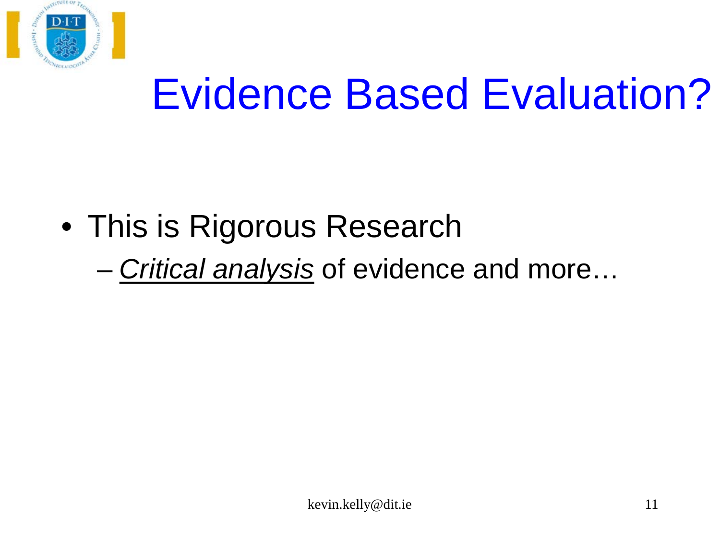

# Evidence Based Evaluation?

- This is Rigorous Research
	- *Critical analysis* of evidence and more…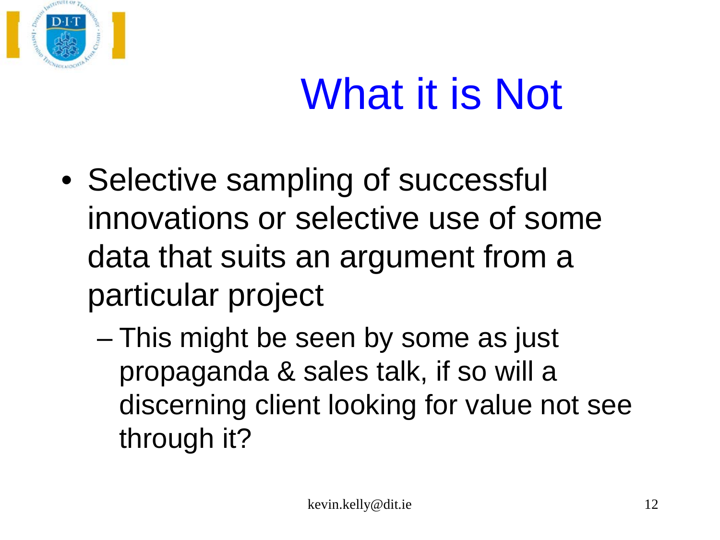

# What it is Not

- Selective sampling of successful innovations or selective use of some data that suits an argument from a particular project
	- This might be seen by some as just propaganda & sales talk, if so will a discerning client looking for value not see through it?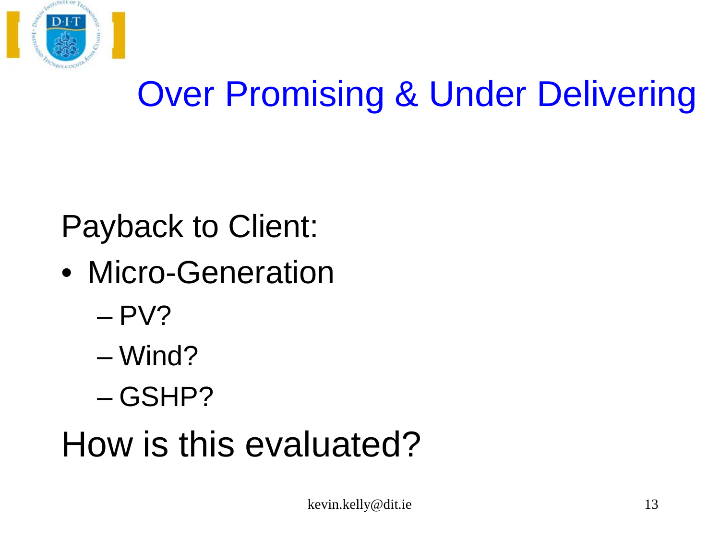

## Over Promising & Under Delivering

### Payback to Client:

- Micro-Generation
	- $-$  PV?
	- Wind?
	- GSHP?

## How is this evaluated?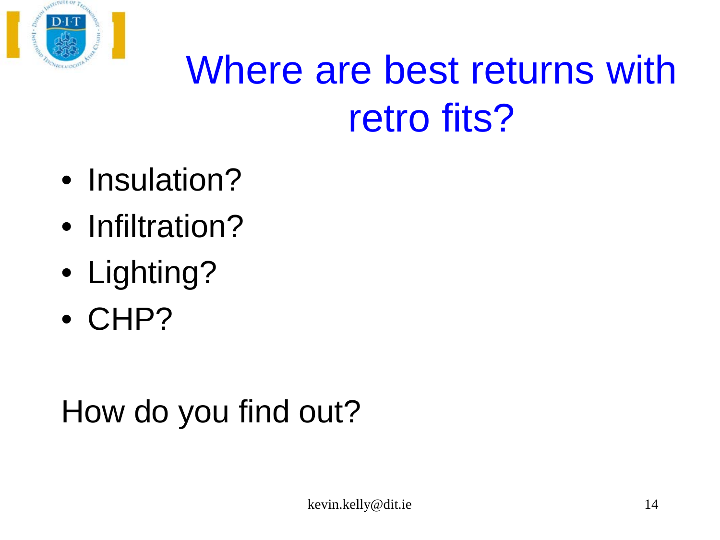

## Where are best returns with retro fits?

- Insulation?
- Infiltration?
- Lighting?
- CHP?

### How do you find out?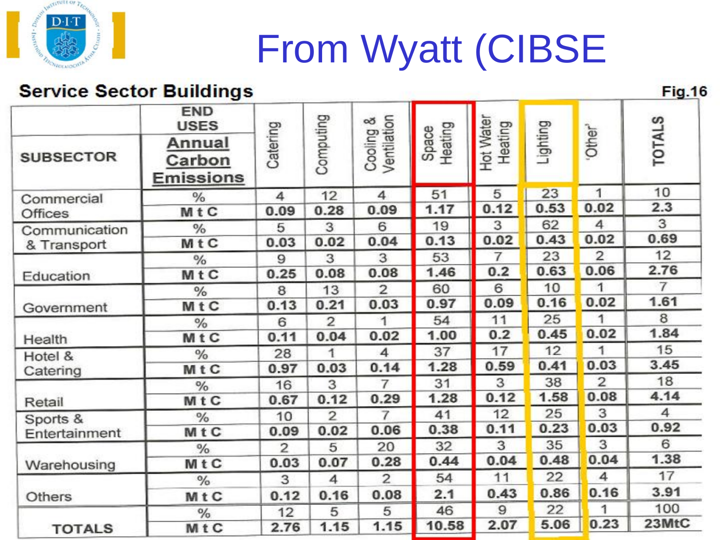

## From Wyatt (CIBSE

#### **Service Sector Buildings**

**Fig.16** 

| <b>Service Sector Buildings</b> |                                      |                |                |                        |                  |                      |          |                    | Fig.16         |
|---------------------------------|--------------------------------------|----------------|----------------|------------------------|------------------|----------------------|----------|--------------------|----------------|
|                                 | <b>END</b><br><b>USES</b>            |                |                | න්                     |                  |                      |          |                    |                |
| <b>SUBSECTOR</b>                | Annual<br>Carbon<br><b>Emissions</b> | Catering       | Computing      | Ventilation<br>Cooling | Space<br>Heating | Hot Water<br>Heating | Lighting | Other <sup>3</sup> | <b>TOTALS</b>  |
| Commercial                      | %                                    | 4              | 12             | 4                      | 51               | 5                    | 23       | 1                  | 10             |
| <b>Offices</b>                  | MtC                                  | 0.09           | 0.28           | 0.09                   | 1.17             | 0.12                 | 0.53     | 0.02               | 2.3            |
| Communication                   | %                                    | 5              | 3              | 6                      | 19               | 3                    | 62       | 4                  | 3              |
| & Transport                     | MtC                                  | 0.03           | 0.02           | 0.04                   | 0.13             | 0.02                 | 0.43     | 0.02               | 0.69           |
| Education                       | $\frac{0}{6}$                        | 9              | 3              | 3                      | 53               | $\overline{7}$       | 23       | $\overline{2}$     | 12             |
|                                 | MtC                                  | 0.25           | 0.08           | 0.08                   | 1.46             | 0.2                  | 0.63     | 0.06               | 2.76           |
|                                 | $\frac{0}{0}$                        | 8              | 13             | $\overline{2}$         | 60               | 6                    | 10       | 1                  | $\overline{7}$ |
| Government                      | <b>MtC</b>                           | 0.13           | 0.21           | 0.03                   | 0.97             | 0.09                 | 0.16     | 0.02               | 1.61           |
| Health                          | %                                    | 6              | $\overline{2}$ | 1                      | 54               | 11                   | 25       | 1                  | 8              |
|                                 | MtC                                  | 0.11           | 0.04           | 0.02                   | 1.00             | 0.2                  | 0.45     | 0.02               | 1.84           |
| Hotel &                         | $\frac{0}{6}$                        | 28             | 1              | 4                      | 37               | 17                   | 12       | 1                  | 15             |
| Catering                        | MtC                                  | 0.97           | 0.03           | 0.14                   | 1.28             | 0.59                 | 0.41     | 0.03               | 3.45           |
| Retail                          | $\%$                                 | 16             | 3              | $\overline{7}$         | 31               | 3                    | 38       | $\overline{2}$     | 18             |
|                                 | MtC                                  | 0.67           | 0.12           | 0.29                   | 1.28             | 0.12                 | 1.58     | 0.08               | 4.14           |
| Sports &                        | $\frac{0}{6}$                        | 10             | $\overline{2}$ | $\overline{7}$         | 41               | 12                   | 25       | 3                  | 4              |
| Entertainment                   | MtC                                  | 0.09           | 0.02           | 0.06                   | 0.38             | 0.11                 | 0.23     | 0.03               | 0.92           |
| Warehousing<br>Others           | $\frac{0}{6}$                        | $\overline{2}$ | 5              | 20                     | 32               | 3                    | 35       | 3                  | 6              |
|                                 | MtC                                  | 0.03           | 0.07           | 0.28                   | 0.44             | 0.04                 | 0.48     | 0.04               | 1.38           |
|                                 | $\frac{0}{0}$                        | 3              | 4              | $\overline{2}$         | 54               | 11                   | 22       | 4                  | 17             |
|                                 | MtC                                  | 0.12           | 0.16           | 0.08                   | 2.1              | 0.43                 | 0.86     | 0.16               | 3.91           |
|                                 | %                                    | 12             | 5              | 5                      | 46               | 9                    | 22       | 1                  | 100            |
| <b>TOTALS</b>                   | MtC                                  | 2.76           | 1.15           | 1.15                   | 10.58            | 2.07                 | 5.06     | 0.23               | 23MtC          |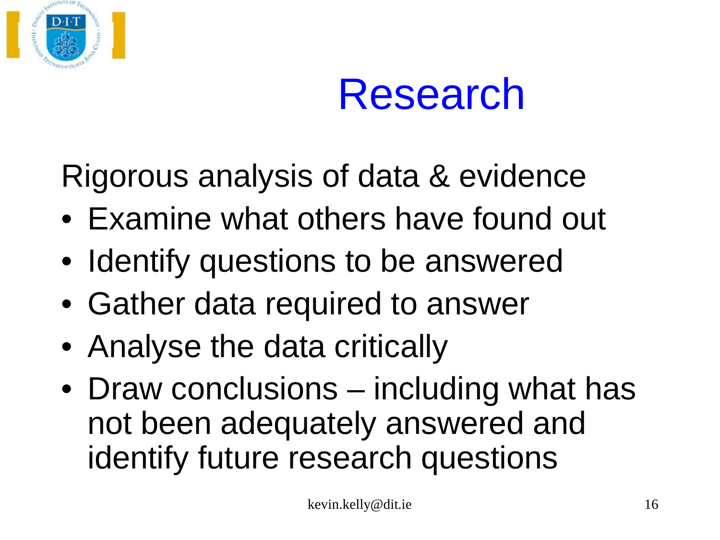



Rigorous analysis of data & evidence

- Examine what others have found out
- Identify questions to be answered
- Gather data required to answer
- Analyse the data critically
- Draw conclusions including what has not been adequately answered and identify future research questions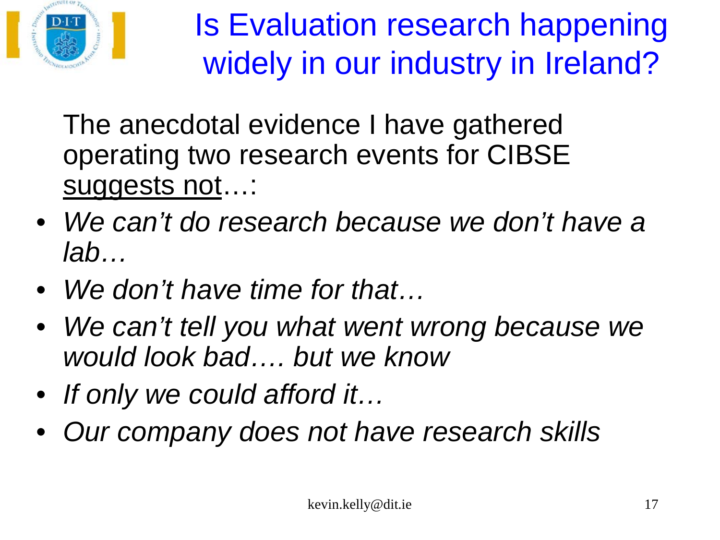

Is Evaluation research happening widely in our industry in Ireland?

The anecdotal evidence I have gathered operating two research events for CIBSE suggests not…:

- *We can't do research because we don't have a lab…*
- *We don't have time for that…*
- *We can't tell you what went wrong because we would look bad…. but we know*
- *If only we could afford it…*
- *Our company does not have research skills*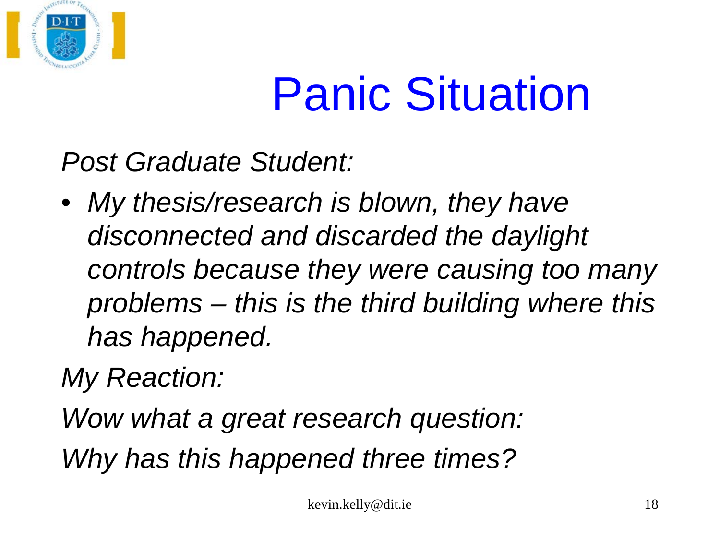

# Panic Situation

*Post Graduate Student:*

• *My thesis/research is blown, they have disconnected and discarded the daylight controls because they were causing too many problems – this is the third building where this has happened.*

*My Reaction:*

*Wow what a great research question:*

*Why has this happened three times?*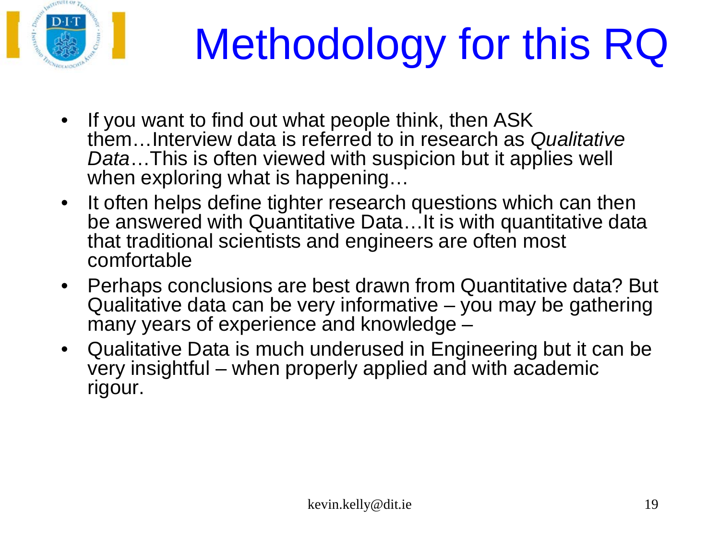

# Methodology for this RQ

- If you want to find out what people think, then ASK them…Interview data is referred to in research as *Qualitative Data*…This is often viewed with suspicion but it applies well when exploring what is happening…
- It often helps define tighter research questions which can then be answered with Quantitative Data...It is with quantitative data that traditional scientists and engineers are often most comfortable
- Perhaps conclusions are best drawn from Quantitative data? But Qualitative data can be very informative – you may be gathering many years of experience and knowledge  $-$
- Qualitative Data is much underused in Engineering but it can be very insightful – when properly applied and with academic rigour.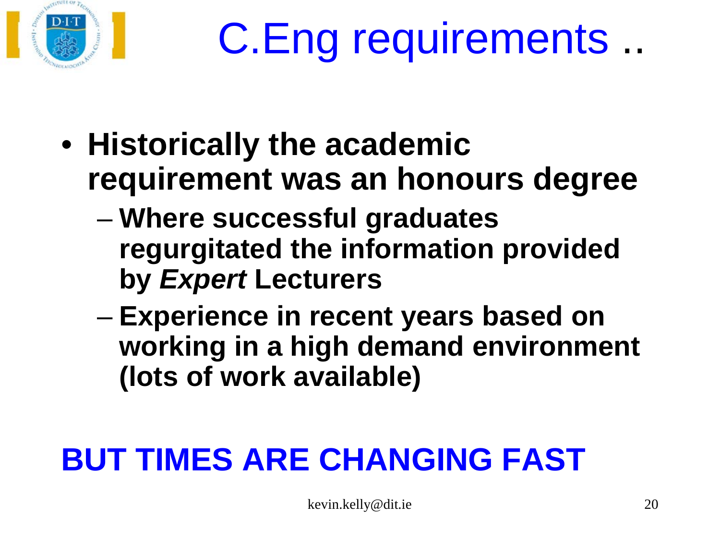

# C.Eng requirements ..

- **Historically the academic requirement was an honours degree** 
	- **Where successful graduates regurgitated the information provided by** *Expert* **Lecturers**
	- **Experience in recent years based on working in a high demand environment (lots of work available)**

## **BUT TIMES ARE CHANGING FAST**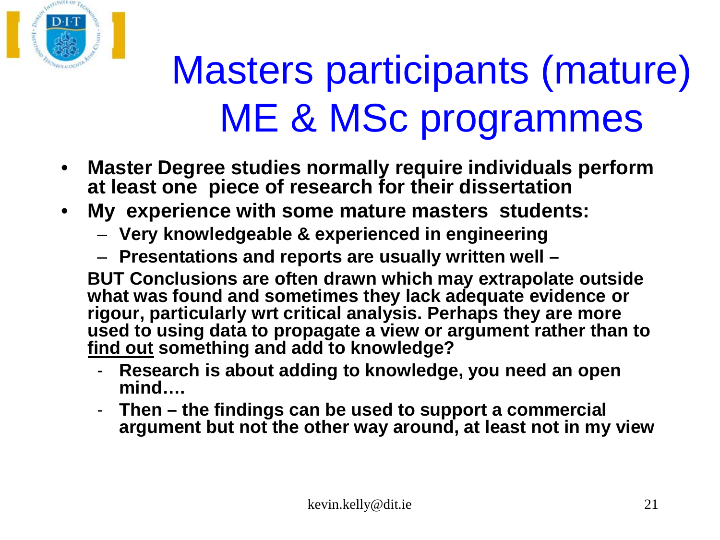

## Masters participants (mature) ME & MSc programmes

- **Master Degree studies normally require individuals perform at least one piece of research for their dissertation**
- **My experience with some mature masters students:**
	- **Very knowledgeable & experienced in engineering**
	- **Presentations and reports are usually written well –**

**BUT Conclusions are often drawn which may extrapolate outside what was found and sometimes they lack adequate evidence or rigour, particularly wrt critical analysis. Perhaps they are more used to using data to propagate a view or argument rather than to find out something and add to knowledge?**

- **Research is about adding to knowledge, you need an open mind….**
- **Then – the findings can be used to support a commercial argument but not the other way around, at least not in my view**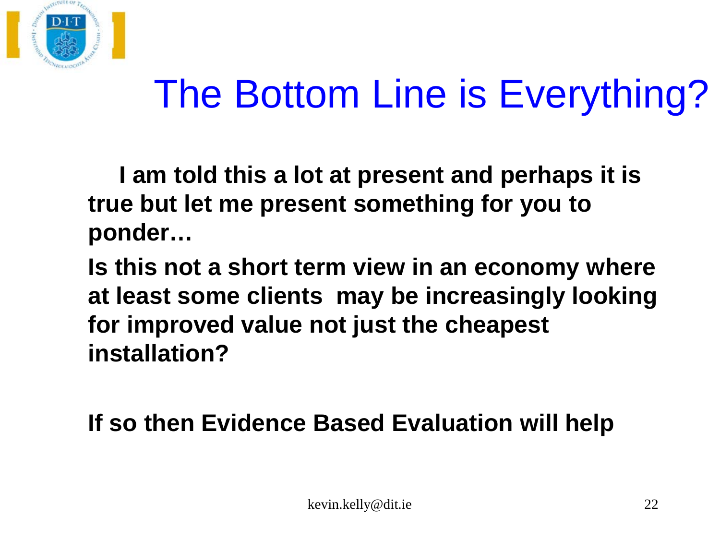

## The Bottom Line is Everything?

**I am told this a lot at present and perhaps it is true but let me present something for you to ponder…**

**Is this not a short term view in an economy where at least some clients may be increasingly looking for improved value not just the cheapest installation?**

**If so then Evidence Based Evaluation will help**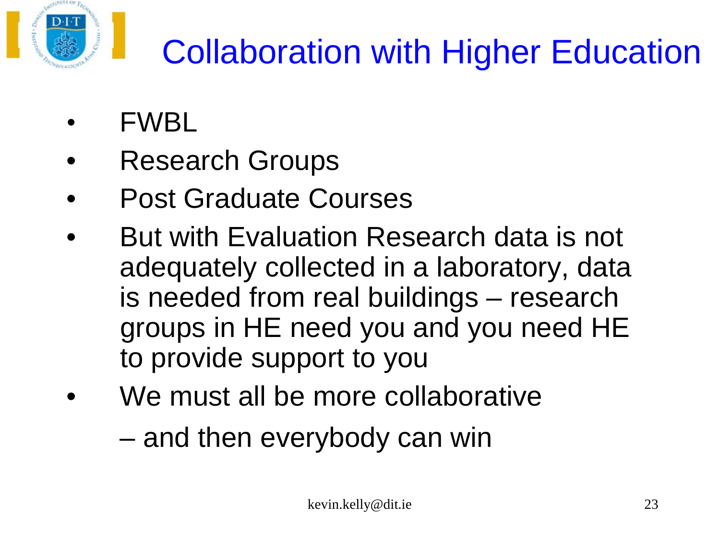

## Collaboration with Higher Education

- FWBL
- Research Groups
- Post Graduate Courses
- But with Evaluation Research data is not adequately collected in a laboratory, data is needed from real buildings – research groups in HE need you and you need HE to provide support to you
- We must all be more collaborative
	- and then everybody can win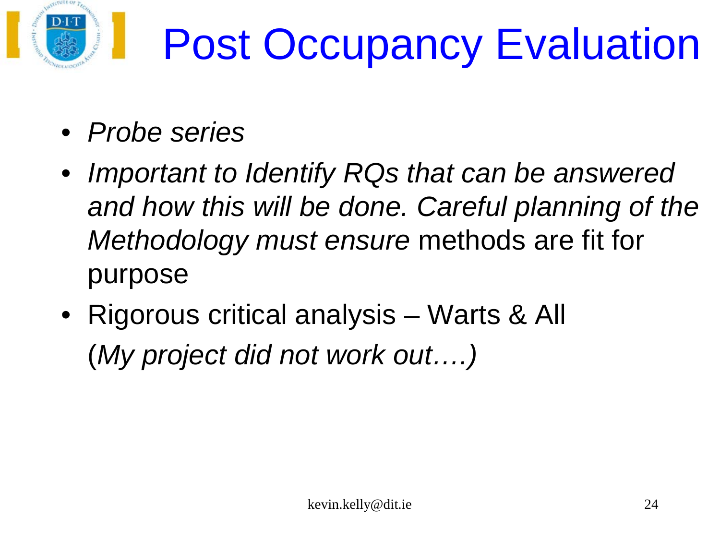

# Post Occupancy Evaluation

- *Probe series*
- *Important to Identify RQs that can be answered*  and how this will be done. Careful planning of the *Methodology must ensure* methods are fit for purpose
- Rigorous critical analysis Warts & All (*My project did not work out….)*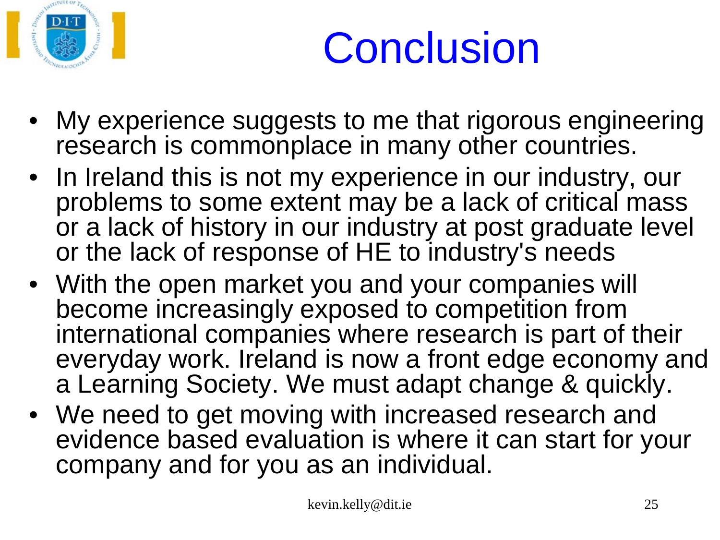

# **Conclusion**

- My experience suggests to me that rigorous engineering research is commonplace in many other countries.
- In Ireland this is not my experience in our industry, our problems to some extent may be a lack of critical mass or a lack of history in our industry at post graduate level or the lack of response of HE to industry's needs
- With the open market you and your companies will become increasingly exposed to competition from international companies where research is part of their everyday work. Ireland is now a front edge economy and a Learning Society. We must adapt change & quickly.
- We need to get moving with increased research and evidence based evaluation is where it can start for your company and for you as an individual.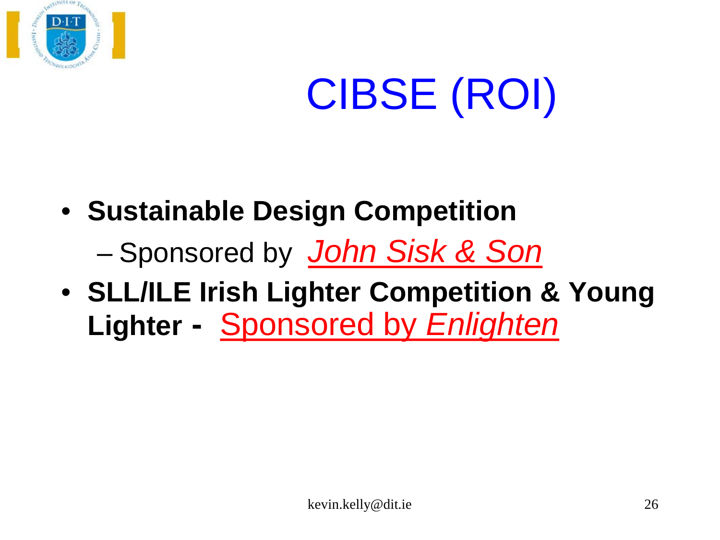

# CIBSE (ROI)

- **Sustainable Design Competition**
	- Sponsored by *John Sisk & Son*
- **SLL/ILE Irish Lighter Competition & Young Lighter -** Sponsored by *Enlighten*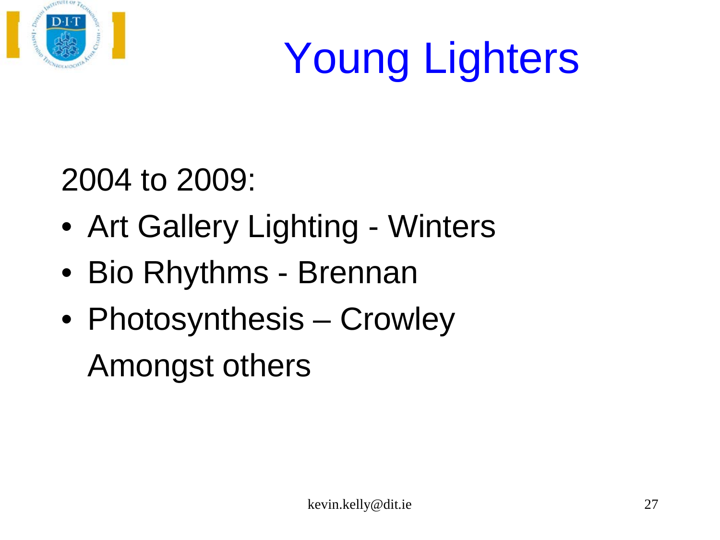

# Young Lighters

### 2004 to 2009:

- Art Gallery Lighting Winters
- Bio Rhythms Brennan
- Photosynthesis Crowley

Amongst others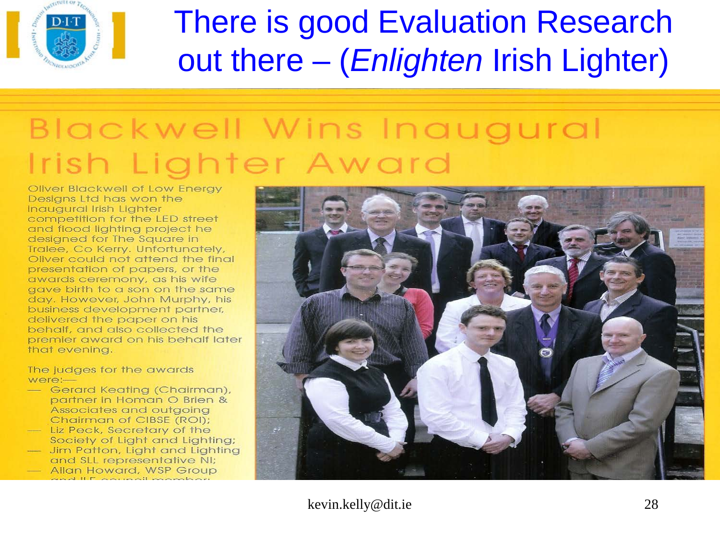

### There is good Evaluation Research out there – (*Enlighten* Irish Lighter)

### Blackwell Wins Inaugural Irish Lighter Award

Oliver Blackwell of Low Energy Designs Ltd has won the Inaugural Irish Lighter competition for the LED street and flood lighting project he designed for The Square in Tralee, Co Kerry. Unfortunately, Oliver could not attend the final presentation of papers, or the awards ceremony, as his wife gave birth to a son on the same day. However, John Murphy, his business development partner, delivered the paper on his behalf, and also collected the premier award on his behalf later that evening.

The judges for the awards were:-

- Gerard Keating (Chairman), partner in Homan O Brien & Associates and outgoing Chairman of CIBSE (ROI);
- Liz Peck, Secretary of the Society of Light and Lighting;
- Jim Patton, Light and Lighting and SLL representative NI;
- 
- Allan Howard, WSP Group

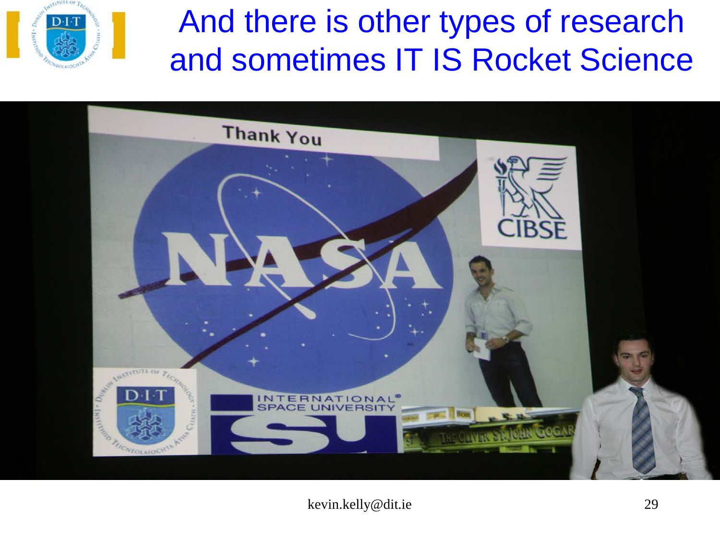

### And there is other types of research and sometimes IT IS Rocket Science

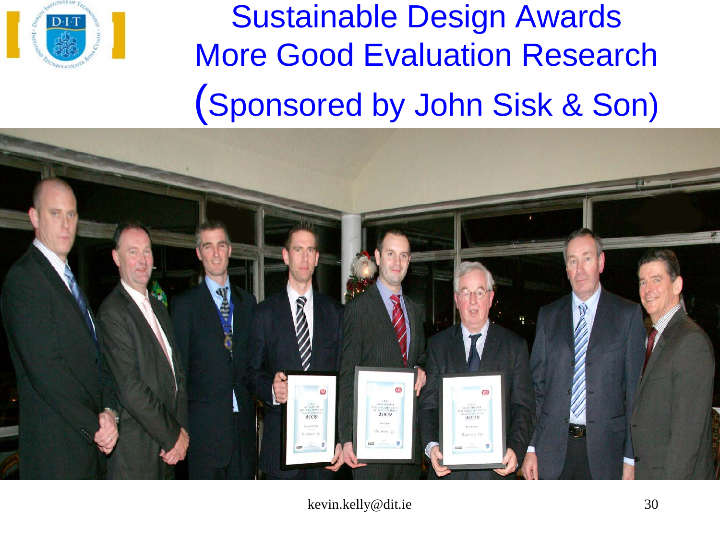

Sustainable Design Awards More Good Evaluation Research (Sponsored by John Sisk & Son)

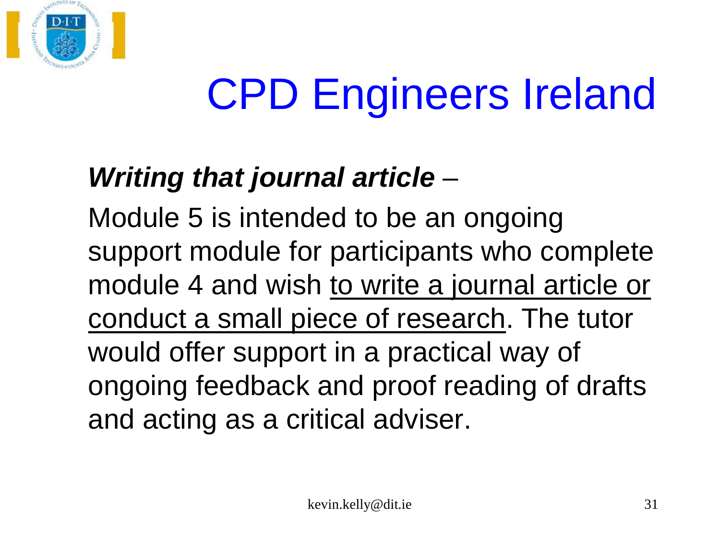

# CPD Engineers Ireland

### *Writing that journal article* –

Module 5 is intended to be an ongoing support module for participants who complete module 4 and wish to write a journal article or conduct a small piece of research. The tutor would offer support in a practical way of ongoing feedback and proof reading of drafts and acting as a critical adviser.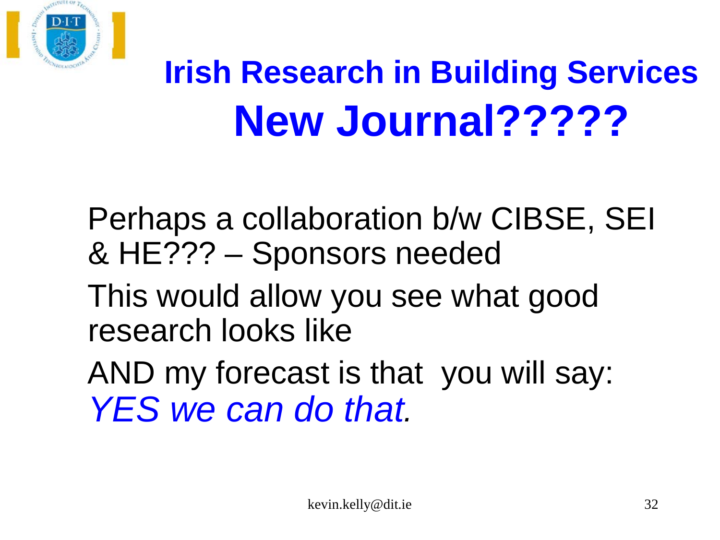

## **Irish Research in Building Services New Journal?????**

 Perhaps a collaboration b/w CIBSE, SEI & HE??? – Sponsors needed

 This would allow you see what good research looks like

 AND my forecast is that you will say: *YES we can do that.*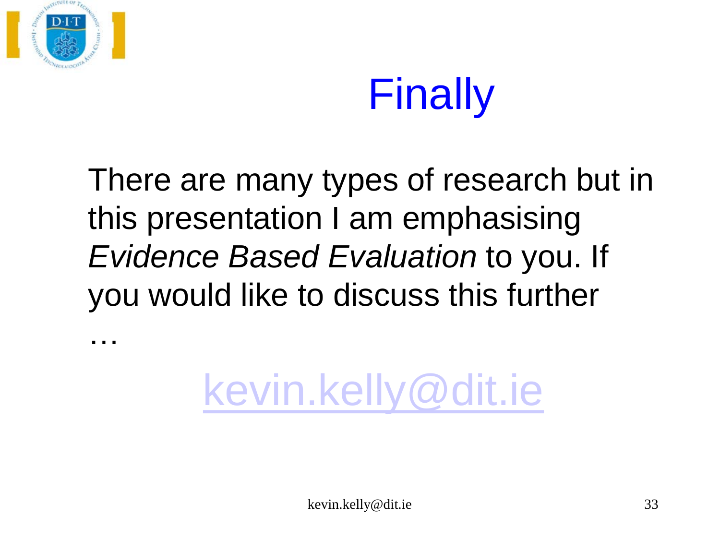

…

# Finally

There are many types of research but in this presentation I am emphasising *Evidence Based Evaluation* to you. If you would like to discuss this further

[kevin.kelly@dit.ie](mailto:kevin.kelly@dit.ie)